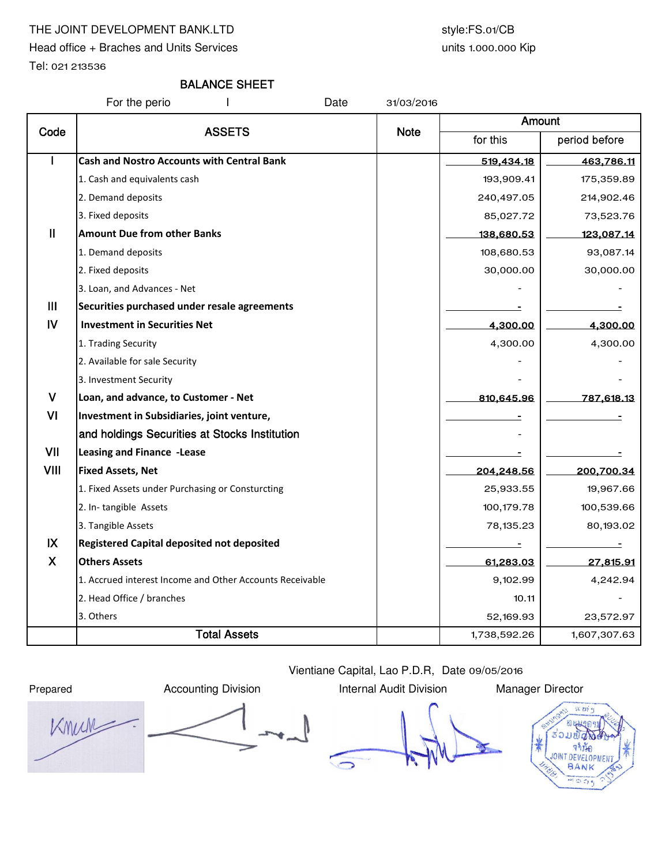### THE JOINT DEVELOPMENT BANK.LTD style:FS.01/CB

Head office + Braches and Units Services

units 1.000.000 Kip

Tel: 021 213536

## BALANCE SHEET

For the perio The Mate 31/03/2016

| Code           | <b>ASSETS</b>                                            |             | Amount       |               |  |
|----------------|----------------------------------------------------------|-------------|--------------|---------------|--|
|                |                                                          | <b>Note</b> | for this     | period before |  |
|                | <b>Cash and Nostro Accounts with Central Bank</b>        |             | 519,434.18   | 463,786.11    |  |
|                | 1. Cash and equivalents cash                             |             | 193,909.41   | 175,359.89    |  |
|                | 2. Demand deposits                                       |             | 240,497.05   | 214,902.46    |  |
|                | 3. Fixed deposits                                        |             | 85,027.72    | 73,523.76     |  |
| $\mathbf{II}$  | <b>Amount Due from other Banks</b>                       |             | 138,680.53   | 123,087.14    |  |
|                | 1. Demand deposits                                       |             | 108,680.53   | 93,087.14     |  |
|                | 2. Fixed deposits                                        |             | 30,000.00    | 30,000.00     |  |
|                | 3. Loan, and Advances - Net                              |             |              |               |  |
| $\mathbf{III}$ | Securities purchased under resale agreements             |             |              |               |  |
| $\overline{N}$ | <b>Investment in Securities Net</b>                      |             | 4,300.00     | 4,300.00      |  |
|                | 1. Trading Security                                      |             | 4,300.00     | 4,300.00      |  |
|                | 2. Available for sale Security                           |             |              |               |  |
|                | 3. Investment Security                                   |             |              |               |  |
| $\mathsf{V}$   | Loan, and advance, to Customer - Net                     |             | 810,645.96   | 787,618.13    |  |
| VI             | Investment in Subsidiaries, joint venture,               |             |              |               |  |
|                | and holdings Securities at Stocks Institution            |             |              |               |  |
| VII            | Leasing and Finance -Lease                               |             |              |               |  |
| <b>VIII</b>    | <b>Fixed Assets, Net</b>                                 |             | 204,248.56   | 200,700.34    |  |
|                | 1. Fixed Assets under Purchasing or Consturcting         |             | 25,933.55    | 19,967.66     |  |
|                | 2. In-tangible Assets                                    |             | 100,179.78   | 100,539.66    |  |
|                | 3. Tangible Assets                                       |             | 78,135.23    | 80,193.02     |  |
| IX             | <b>Registered Capital deposited not deposited</b>        |             |              |               |  |
| $\mathsf{X}$   | <b>Others Assets</b>                                     |             | 61,283.03    | 27,815.91     |  |
|                | 1. Accrued interest Income and Other Accounts Receivable |             | 9,102.99     | 4,242.94      |  |
|                | 2. Head Office / branches                                |             | 10.11        |               |  |
|                | 3. Others                                                |             | 52,169.93    | 23,572.97     |  |
|                | <b>Total Assets</b>                                      |             | 1,738,592.26 | 1,607,307.63  |  |

Knun  $\overline{\phantom{a}}$ 

Vientiane Capital, Lao P.D.R, Date 09/05/2016 Prepared **Accounting Division** Internal Audit Division Manager Director

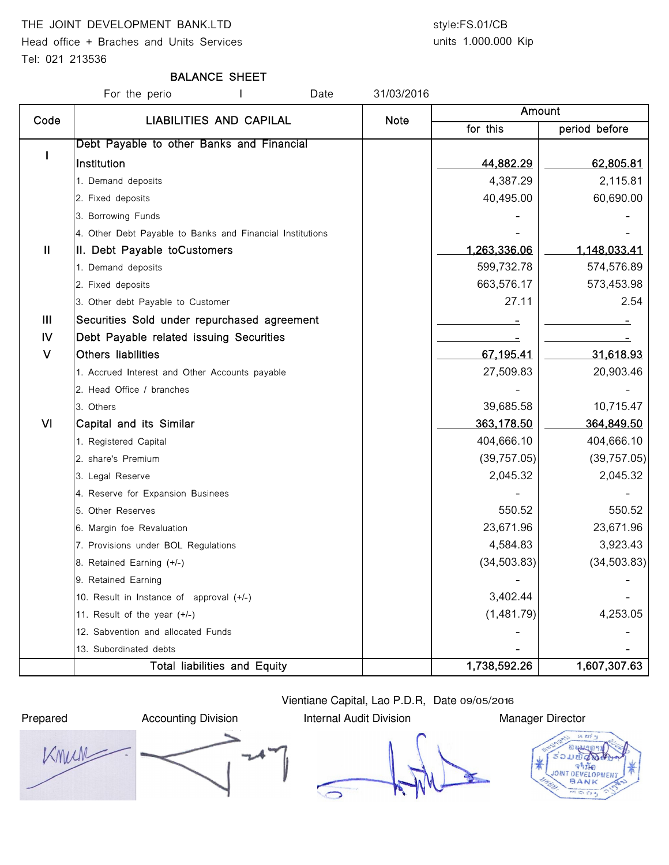#### THE JOINT DEVELOPMENT BANK.LTD style:FS.01/CB

Head office + Braches and Units Services

# units 1.000.000 Kip

Tel: 021 213536

#### BALANCE SHEET

For the perio The State Superior Contract Pate 31/03/2016 for this | period before I Debt Payable to other Banks and Financial Institution 44,882.29 62,805.81 1. Demand deposits 4,387.29 2,115.81 2. Fixed deposits 60,690.00 **60,690.00 40,495.00 60,690.00** 3. Borrowing Funds 4. Other Debt Payable to Banks and Financial Institutions II | II. Debt Payable toCustomers 1,263,336.06 | 1,148,033.41 1. Demand deposits 674,576.89 2. Fixed deposits 663,576.17 573,453.98 3. Other debt Payable to Customer 254 (254 and 27.11 2.54 and 27.11 2.54 and 2.54 and 2.54 and 2.54 and 2.54 and 2.54 and 2.54 and 2.54 and 2.54 and 2.54 and 2.54 and 2.54 and 2.54 and 2.54 and 2.54 and 2.54 and 2.54 and 2 III Securities Sold under repurchased agreement - - IV Debt Payable related issuing Securities And Allen Manuscription and Theorem Allen Manuscription and Allen A V Others liabilities 67,195.41 31,618.93 1. Accrued Interest and Other Accounts payable 27,509.83 20,903.46 2. Head Office / branches 3. Others 39,685.58 10,715.47 Amount Code | LIABILITIES AND CAPILAL | Note VI Capital and its Similar 363,178.50 364,849.50 1. Registered Capital 1. **Alternative Capital 1. Alternative Capital 1. Alternative Capital 404,666.10** 404,666.10 2. share's Premium (39,757.05) (39,757.05) 3. Legal Reserve 2,045.32 2,045.32 4. Reserve for Expansion Businees 5. Other Reserves 550.52 550.52 6. Margin foe Revaluation 23,671.96 23,671.96 7. Provisions under BOL Regulations (and the state of the state of the state of the state of the state of the state of the state of the state of the state of the state of the state of the state of the state of the state of 8. Retained Earning (+/-) (34,503.83) 9. Retained Earning 10. Result in Instance of approval  $(+/-)$   $\qquad \qquad$   $\qquad \qquad$  3,402.44 11. Result of the year (+/-)  $(1,481.79)$  4,253.05 12. Sabvention and allocated Funds 13. Subordinated debts Total liabilities and Equity 1,738,592.26 1,607,307.63

Knun

Prepared **Accounting Division** Internal Audit Division Manager Director

Vientiane Capital, Lao P.D.R, Date 09/05/2016



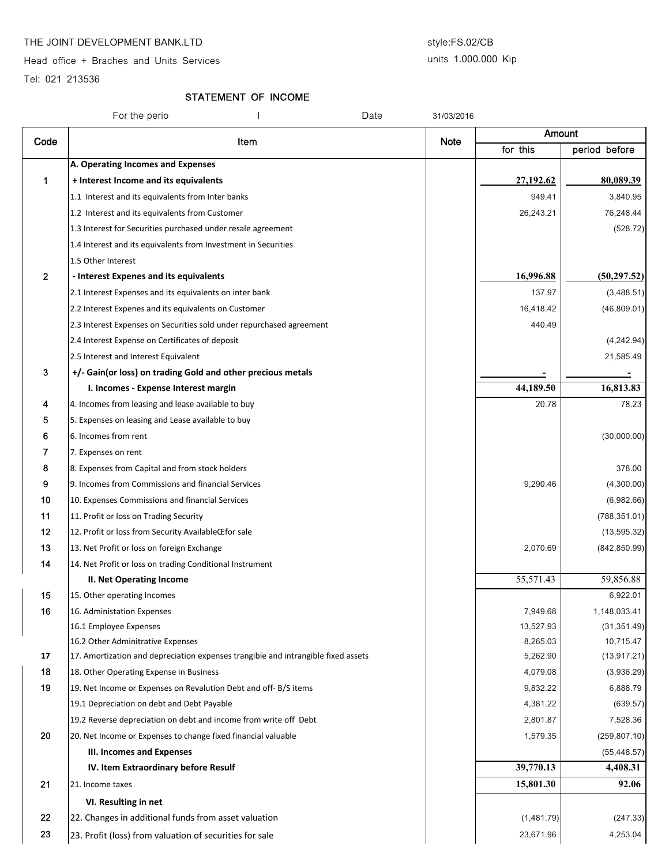#### THE JOINT DEVELOPMENT BANK.LTD style:FS.02/CB

Head office + Braches and Units Services

#### units 1.000.000 Kip

Tel: 021 213536

### STATEMENT OF INCOME

|              | For the perio<br>Date                                                             | 31/03/2016  |            |               |
|--------------|-----------------------------------------------------------------------------------|-------------|------------|---------------|
| Code         | Item                                                                              |             | Amount     |               |
|              |                                                                                   | <b>Note</b> | for this   | period before |
|              | A. Operating Incomes and Expenses                                                 |             |            |               |
| 1            | + Interest Income and its equivalents                                             |             | 27,192.62  | 80,089.39     |
|              | 1.1 Interest and its equivalents from Inter banks                                 |             | 949.41     | 3,840.95      |
|              | 1.2 Interest and its equivalents from Customer                                    |             | 26,243.21  | 76,248.44     |
|              | 1.3 Interest for Securities purchased under resale agreement                      |             |            | (528.72)      |
|              | 1.4 Interest and its equivalents from Investment in Securities                    |             |            |               |
|              | 1.5 Other Interest                                                                |             |            |               |
| $\mathbf{2}$ | - Interest Expenes and its equivalents                                            |             | 16,996.88  | (50, 297.52)  |
|              | 2.1 Interest Expenses and its equivalents on inter bank                           |             | 137.97     | (3,488.51)    |
|              | 2.2 Interest Expenes and its equivalents on Customer                              |             | 16,418.42  | (46,809.01)   |
|              | 2.3 Interest Expenses on Securities sold under repurchased agreement              |             | 440.49     |               |
|              | 2.4 Interest Expense on Certificates of deposit                                   |             |            | (4,242.94)    |
|              | 2.5 Interest and Interest Equivalent                                              |             |            | 21,585.49     |
| 3            | +/- Gain(or loss) on trading Gold and other precious metals                       |             |            |               |
|              | I. Incomes - Expense Interest margin                                              |             | 44,189.50  | 16,813.83     |
| 4            | 4. Incomes from leasing and lease available to buy                                |             | 20.78      | 78.23         |
| 5            | 5. Expenses on leasing and Lease available to buy                                 |             |            |               |
| 6            | 6. Incomes from rent                                                              |             |            | (30,000.00)   |
| 7            | 7. Expenses on rent                                                               |             |            |               |
| 8            | 8. Expenses from Capital and from stock holders                                   |             |            | 378.00        |
| 9            | 9. Incomes from Commissions and financial Services                                |             | 9,290.46   | (4,300.00)    |
| 10           | 10. Expenses Commissions and financial Services                                   |             |            | (6,982.66)    |
| 11           | 11. Profit or loss on Trading Security                                            |             |            | (788, 351.01) |
| $12 \,$      | 12. Profit or loss from Security AvailableŒfor sale                               |             |            | (13, 595.32)  |
| 13           | 13. Net Profit or loss on foreign Exchange                                        |             | 2,070.69   | (842, 850.99) |
| 14           | 14. Net Profit or loss on trading Conditional Instrument                          |             |            |               |
|              | <b>II. Net Operating Income</b>                                                   |             | 55,571.43  | 59,856.88     |
| 15           | 15. Other operating Incomes                                                       |             |            | 6,922.01      |
| 16           | 16. Administation Expenses                                                        |             | 7,949.68   | 1,148,033.41  |
|              | 16.1 Employee Expenses                                                            |             | 13,527.93  | (31, 351.49)  |
|              | 16.2 Other Adminitrative Expenses                                                 |             | 8,265.03   | 10,715.47     |
| 17           | 17. Amortization and depreciation expenses trangible and intrangible fixed assets |             | 5,262.90   | (13, 917.21)  |
| 18           | 18. Other Operating Expense in Business                                           |             | 4,079.08   | (3,936.29)    |
| 19           | 19. Net Income or Expenses on Revalution Debt and off-B/S items                   |             | 9,832.22   | 6,888.79      |
|              | 19.1 Depreciation on debt and Debt Payable                                        |             | 4,381.22   | (639.57)      |
|              | 19.2 Reverse depreciation on debt and income from write off Debt                  |             | 2,801.87   | 7,528.36      |
| 20           | 20. Net Income or Expenses to change fixed financial valuable                     |             | 1,579.35   | (259, 807.10) |
|              | <b>III. Incomes and Expenses</b>                                                  |             |            | (55, 448.57)  |
|              | IV. Item Extraordinary before Resulf                                              |             | 39,770.13  | 4,408.31      |
| 21           | 21. Income taxes                                                                  |             | 15,801.30  | 92.06         |
|              | VI. Resulting in net                                                              |             |            |               |
| 22           | 22. Changes in additional funds from asset valuation                              |             | (1,481.79) | (247.33)      |
| 23           | 23. Profit (loss) from valuation of securities for sale                           |             | 23,671.96  | 4,253.04      |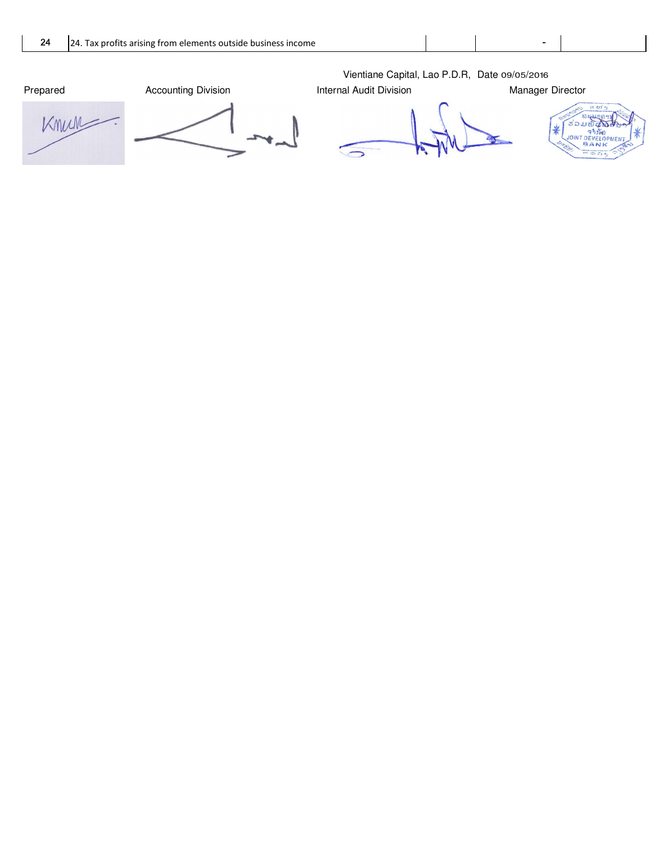Prepared **Accounting Division Internal Audit Division** Manager Director Knun



Vientiane Capital, Lao P.D.R, Date 09/05/2016

 $\overline{\phantom{1}}$ 

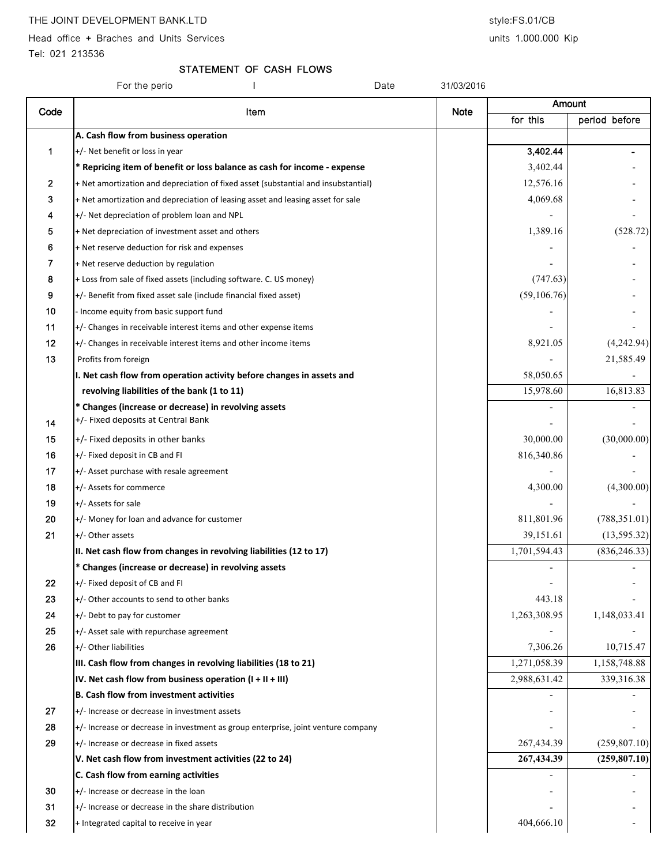Head office + Braches and Units Services and Units 1.000.000 Kip

Tel: 021 213536

STATEMENT OF CASH FLOWS

| For the perio<br>Date<br>31/03/2016 |                                                                                            |             |              |               |
|-------------------------------------|--------------------------------------------------------------------------------------------|-------------|--------------|---------------|
| Code                                | Item                                                                                       | <b>Note</b> | Amount       |               |
|                                     |                                                                                            |             | for this     | period before |
|                                     | A. Cash flow from business operation                                                       |             |              |               |
| 1                                   | +/- Net benefit or loss in year                                                            |             | 3,402.44     |               |
|                                     | * Repricing item of benefit or loss balance as cash for income - expense                   |             | 3,402.44     |               |
| 2                                   | + Net amortization and depreciation of fixed asset (substantial and insubstantial)         |             | 12,576.16    |               |
| 3                                   | + Net amortization and depreciation of leasing asset and leasing asset for sale            |             | 4,069.68     |               |
| 4                                   | +/- Net depreciation of problem loan and NPL                                               |             |              |               |
| 5                                   | + Net depreciation of investment asset and others                                          |             | 1,389.16     | (528.72)      |
| 6                                   | + Net reserve deduction for risk and expenses                                              |             |              |               |
| 7                                   | + Net reserve deduction by regulation                                                      |             |              |               |
| 8                                   | + Loss from sale of fixed assets (including software. C. US money)                         |             | (747.63)     |               |
| 9                                   | +/- Benefit from fixed asset sale (include financial fixed asset)                          |             | (59, 106.76) |               |
| 10                                  | - Income equity from basic support fund                                                    |             |              |               |
| 11                                  | +/- Changes in receivable interest items and other expense items                           |             |              |               |
| 12                                  | $+/-$ Changes in receivable interest items and other income items                          |             | 8,921.05     | (4,242.94)    |
| 13                                  | Profits from foreign                                                                       |             |              | 21,585.49     |
|                                     | I. Net cash flow from operation activity before changes in assets and                      |             | 58,050.65    |               |
|                                     | revolving liabilities of the bank (1 to 11)                                                |             | 15,978.60    | 16,813.83     |
| 14                                  | * Changes (increase or decrease) in revolving assets<br>+/- Fixed deposits at Central Bank |             |              |               |
| 15                                  | $+/-$ Fixed deposits in other banks                                                        |             | 30,000.00    | (30,000.00)   |
| 16                                  | +/- Fixed deposit in CB and FI                                                             |             | 816,340.86   |               |
| 17                                  | +/- Asset purchase with resale agreement                                                   |             |              |               |
| 18                                  | +/- Assets for commerce                                                                    |             | 4,300.00     | (4,300.00)    |
| 19                                  | +/- Assets for sale                                                                        |             |              |               |
| 20                                  | +/- Money for loan and advance for customer                                                |             | 811,801.96   | (788, 351.01) |
| 21                                  | +/- Other assets                                                                           |             | 39,151.61    | (13, 595.32)  |
|                                     | II. Net cash flow from changes in revolving liabilities (12 to 17)                         |             | 1,701,594.43 | (836, 246.33) |
|                                     | * Changes (increase or decrease) in revolving assets                                       |             |              |               |
| 22                                  | $+/-$ Fixed deposit of CB and FI                                                           |             |              |               |
| 23                                  | +/- Other accounts to send to other banks                                                  |             | 443.18       |               |
| 24                                  | +/- Debt to pay for customer                                                               |             | 1,263,308.95 | 1,148,033.41  |
| 25                                  | +/- Asset sale with repurchase agreement                                                   |             |              |               |
| 26                                  | +/- Other liabilities                                                                      |             | 7,306.26     | 10,715.47     |
|                                     | III. Cash flow from changes in revolving liabilities (18 to 21)                            |             | 1,271,058.39 | 1,158,748.88  |
|                                     | IV. Net cash flow from business operation $(I + II + III)$                                 |             | 2,988,631.42 | 339,316.38    |
|                                     | <b>B. Cash flow from investment activities</b>                                             |             |              |               |
| 27                                  | $+/-$ Increase or decrease in investment assets                                            |             |              |               |
| 28                                  | +/- Increase or decrease in investment as group enterprise, joint venture company          |             |              |               |
| 29                                  | +/- Increase or decrease in fixed assets                                                   |             | 267,434.39   | (259, 807.10) |
|                                     | V. Net cash flow from investment activities (22 to 24)                                     |             | 267,434.39   | (259, 807.10) |
|                                     | C. Cash flow from earning activities                                                       |             |              |               |
| 30                                  | +/- Increase or decrease in the loan                                                       |             |              |               |
| 31                                  | +/- Increase or decrease in the share distribution                                         |             |              |               |
| 32                                  | + Integrated capital to receive in year                                                    |             | 404,666.10   |               |